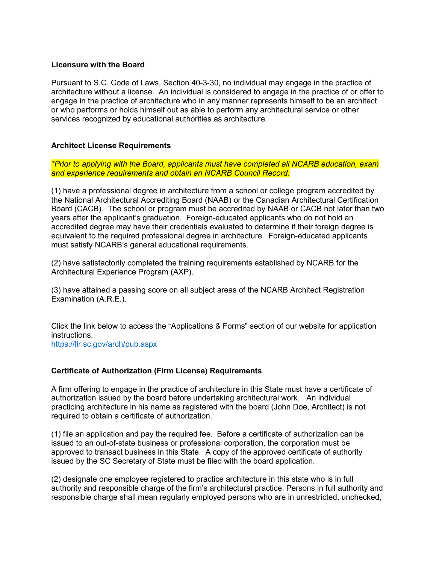## **Licensure with the Board**

Pursuant to S.C. Code of Laws, Section 40-3-30, no individual may engage in the practice of architecture without a license. An individual is considered to engage in the practice of or offer to engage in the practice of architecture who in any manner represents himself to be an architect or who performs or holds himself out as able to perform any architectural service or other services recognized by educational authorities as architecture.

## **Architect License Requirements**

*\*Prior to applying with the Board, applicants must have completed all NCARB education, exam and experience requirements and obtain an NCARB Council Record.*

(1) have a professional degree in architecture from a school or college program accredited by the National Architectural Accrediting Board (NAAB) or the Canadian Architectural Certification Board (CACB). The school or program must be accredited by NAAB or CACB not later than two years after the applicant's graduation. Foreign-educated applicants who do not hold an accredited degree may have their credentials evaluated to determine if their foreign degree is equivalent to the required professional degree in architecture. Foreign-educated applicants must satisfy NCARB's general educational requirements.

(2) have satisfactorily completed the training requirements established by NCARB for the Architectural Experience Program (AXP).

(3) have attained a passing score on all subject areas of the NCARB Architect Registration Examination (A.R.E.).

Click the link below to access the "Applications & Forms" section of our website for application instructions.

<https://llr.sc.gov/arch/pub.aspx>

## **Certificate of Authorization (Firm License) Requirements**

A firm offering to engage in the practice of architecture in this State must have a certificate of authorization issued by the board before undertaking architectural work. An individual practicing architecture in his name as registered with the board (John Doe, Architect) is not required to obtain a certificate of authorization.

(1) file an application and pay the required fee. Before a certificate of authorization can be issued to an out-of-state business or professional corporation, the corporation must be approved to transact business in this State. A copy of the approved certificate of authority issued by the SC Secretary of State must be filed with the board application.

(2) designate one employee registered to practice architecture in this state who is in full authority and responsible charge of the firm's architectural practice. Persons in full authority and responsible charge shall mean regularly employed persons who are in unrestricted, unchecked,